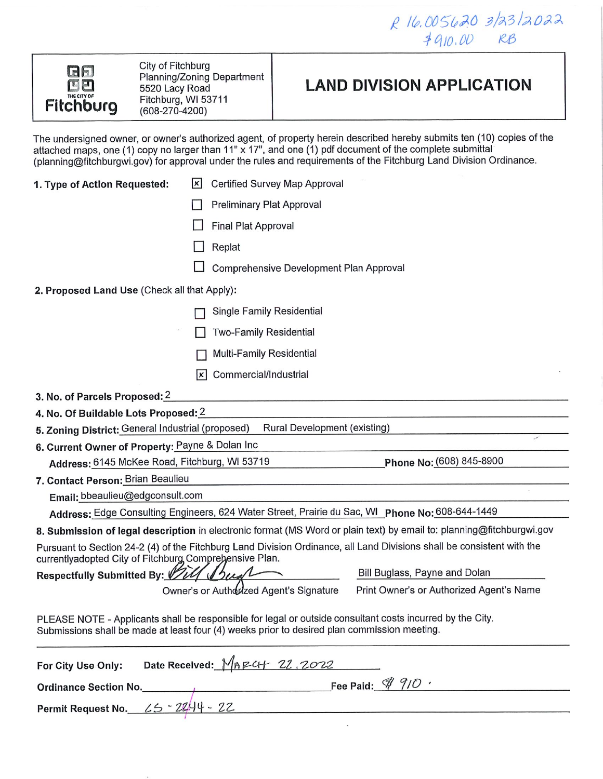R 16.005620 3/23/2022  $4910.00$  RB



City of Fitchburg Planning/Zoning Department 5520 Lacy Road Fitchburg, WI 53711  $(608-270-4200)$ 

# **LAND DIVISION APPLICATION**

The undersigned owner, or owner's authorized agent, of property herein described hereby submits ten (10) copies of the attached maps, one (1) copy no larger than 11" x 17", and one (1) pdf document of the complete submittal (planning@fitchburgwi.gov) for approval under the rules and requirements of the Fitchburg Land Division Ordinance.

| 1. Type of Action Requested:                                                                                                                                                                                                  | <b>Certified Survey Map Approval</b><br> x |                                                                                                                        |  |
|-------------------------------------------------------------------------------------------------------------------------------------------------------------------------------------------------------------------------------|--------------------------------------------|------------------------------------------------------------------------------------------------------------------------|--|
|                                                                                                                                                                                                                               | <b>Preliminary Plat Approval</b>           |                                                                                                                        |  |
|                                                                                                                                                                                                                               | <b>Final Plat Approval</b>                 |                                                                                                                        |  |
|                                                                                                                                                                                                                               | Replat                                     |                                                                                                                        |  |
|                                                                                                                                                                                                                               |                                            | Comprehensive Development Plan Approval                                                                                |  |
| 2. Proposed Land Use (Check all that Apply):                                                                                                                                                                                  |                                            |                                                                                                                        |  |
|                                                                                                                                                                                                                               |                                            |                                                                                                                        |  |
|                                                                                                                                                                                                                               | Single Family Residential                  |                                                                                                                        |  |
|                                                                                                                                                                                                                               | <b>Two-Family Residential</b>              |                                                                                                                        |  |
|                                                                                                                                                                                                                               | Multi-Family Residential                   |                                                                                                                        |  |
|                                                                                                                                                                                                                               | Commercial/Industrial<br> x                |                                                                                                                        |  |
| 3. No. of Parcels Proposed: 2                                                                                                                                                                                                 |                                            |                                                                                                                        |  |
| 4. No. Of Buildable Lots Proposed: 2                                                                                                                                                                                          |                                            |                                                                                                                        |  |
| 5. Zoning District: General Industrial (proposed)                                                                                                                                                                             |                                            | Rural Development (existing)                                                                                           |  |
| 6. Current Owner of Property: Payne & Dolan Inc                                                                                                                                                                               |                                            |                                                                                                                        |  |
| Address: 6145 McKee Road, Fitchburg, WI 53719                                                                                                                                                                                 |                                            | Phone No: (608) 845-8900                                                                                               |  |
| 7. Contact Person: Brian Beaulieu                                                                                                                                                                                             |                                            |                                                                                                                        |  |
| Email: bbeaulieu@edgconsult.com                                                                                                                                                                                               |                                            |                                                                                                                        |  |
|                                                                                                                                                                                                                               |                                            | Address: Edge Consulting Engineers, 624 Water Street, Prairie du Sac, WI Phone No: 608-644-1449                        |  |
|                                                                                                                                                                                                                               |                                            | 8. Submission of legal description in electronic format (MS Word or plain text) by email to: planning@fitchburgwi.gov  |  |
| currentlyadopted City of Fitchburg Comprehensive Plan.                                                                                                                                                                        |                                            | Pursuant to Section 24-2 (4) of the Fitchburg Land Division Ordinance, all Land Divisions shall be consistent with the |  |
| Respectfully Submitted By:                                                                                                                                                                                                    |                                            | Bill Buglass, Payne and Dolan                                                                                          |  |
|                                                                                                                                                                                                                               | Owner's or Authorized Agent's Signature    | Print Owner's or Authorized Agent's Name                                                                               |  |
| Submissions shall be made at least four (4) weeks prior to desired plan commission meeting.                                                                                                                                   |                                            | PLEASE NOTE - Applicants shall be responsible for legal or outside consultant costs incurred by the City.              |  |
| For City Use Only:                                                                                                                                                                                                            | Date Received: MARCH 22.2022               |                                                                                                                        |  |
| Ordinance Section No. 4 200 1 200 1 200 1 200 1 200 1 200 1 200 1 200 1 200 1 200 1 200 1 200 1 200 1 200 1 200 1 200 1 200 1 200 1 200 1 200 1 200 1 200 1 200 1 200 1 200 1 200 1 200 1 200 1 200 1 200 1 200 1 200 1 200 1 |                                            |                                                                                                                        |  |
| Permit Request No. 45 - 2244 - 22                                                                                                                                                                                             |                                            |                                                                                                                        |  |

 $\ddot{\phantom{a}}$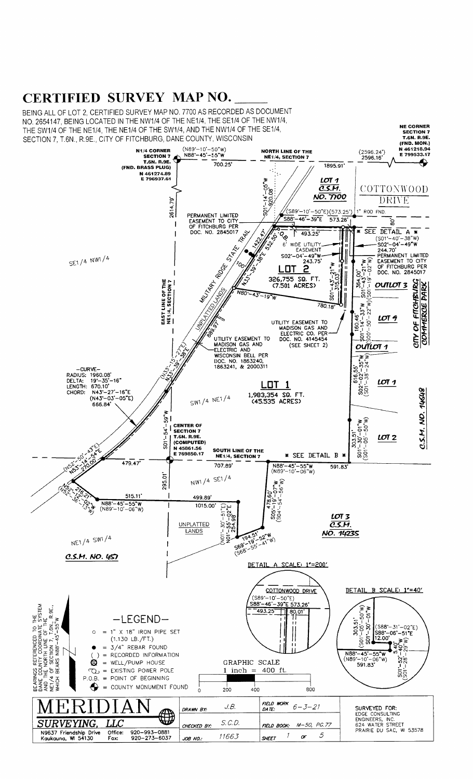# CERTIFIED SURVEY MAP NO.

BEING ALL OF LOT 2. CERTIFIED SURVEY MAP NO. 7700 AS RECORDED AS DOCUMENT NO. 2654147, BEING LOCATED IN THE NW1/4 OF THE NE1/4, THE SE1/4 OF THE NW1/4, NE CORNER<br>SECTION 7<br>T.GN. R.9E.<br>(FND. MON.) THE SW1/4 OF THE NE1/4, THE NE1/4 OF THE SW1/4, AND THE NW1/4 OF THE SE1/4, SECTION 7, T.6N., R.9E., CITY OF FITCHBURG, DANE COUNTY, WISCONSIN  $(N89'-10'-50''W)$ <br> $N88'-45'-55'''W$ N1/4 CORNER<br>SECTION 7<br>T.6N. R.9E.<br>(FND. BRASS PLUG) N 461218.94  $(2596.24')$ <br>2596.16 **NORTH LINE OF THE** E 799533.17 NE1/4, SECTION 7 </sub>  $700.25$ 1895.91 N 461274.89<br>E 796937.61  $1 - 0.5$  \* W  $LOT$ 1  $\overline{\mathcal{C.S.M}}$ . COTTONWOOD  $-14 - 1920$ NO. 7700 2614.79' DRIVE <u>/(S89'-10'-50"E)(573.25')</u> ROD FND. PERMANENT LIMITED<br>EASEMENT TO CITY<br>OF FITCHBURG PER<br>DOC. NO. 2845017  $-46 - 39 - E$ S88 573.26 Ğ.  $\mathbf{I}$ Ĥ RAN Ś. ō. SEE DETAIL A 493.25  $\overline{1}$ DETAIL A<br>
SO1'-40'-38"W)<br>
(SO1'-40'-38"W)<br>
-SO2'-04'-49"W<br>
PERMANENT LIMITED<br>
EASEMENT TO CITY<br>
OF FITCHBURG PER<br>
DOC. NO. 2845017 1422 ,<br>કે J STATES WIDE UTILIT  $6$ **EASEMENT**  $-04^{\circ}-49^{\circ}W$ <br>243.75<sup>\*</sup> \$02\* SE1/4 NW1/4 4.00'<br>  $3' - 21''W$ <br>  $1' - 02''W$ Riock Ĩ, <u>LOT</u>  $1' - 43' - 21''$ <br> $-315.03'' -$ I  $\mathbb{I}$ **MILLIARY** 326,755 SQ. FT.<br>(7.501 ACRES)  $364.0$ OUTLOT 3  $\mathbf{a}$ NRO ទូន  $4.7$ ë.  $-19"w$ 780.18

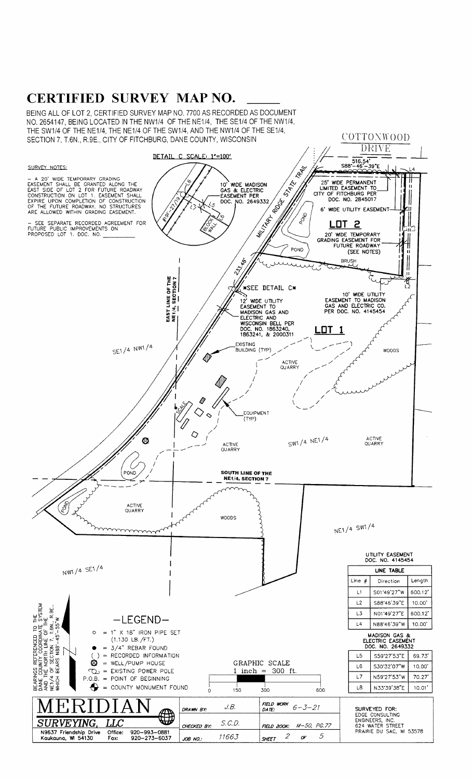# **CERTIFIED SURVEY MAP NO.**

BEING ALL OF LOT 2, CERTIFIED SURVEY MAP NO. 7700 AS RECORDED AS DOCUMENT NO. 2654147, BEING LOCATED IN THE NW1/4 OF THE NE1/4, THE SE1/4 OF THE NW1/4, THE SW1/4 OF THE NE1/4, THE NE1/4 OF THE SW1/4, AND THE NW1/4 OF THE SE1/4, SECTION 7, T.6N., R.9E., CITY OF FITCHBURG, DANE COUNTY, WISCONSIN

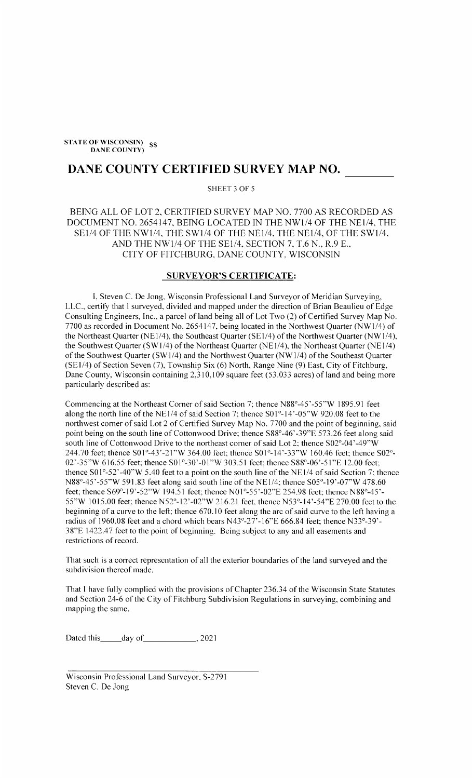STATE OF WISCONSIN) SS **DANE COUNTY)** 

## DANE COUNTY CERTIFIED SURVEY MAP NO.

SHEET 3 OF 5

BEING ALL OF LOT 2, CERTIFIED SURVEY MAP NO. 7700 AS RECORDED AS DOCUMENT NO. 2654147, BEING LOCATED IN THE NW1/4 OF THE NE1/4, THE SE1/4 OF THE NW1/4, THE SW1/4 OF THE NE1/4, THE NE1/4, OF THE SW1/4, AND THE NW1/4 OF THE SE1/4, SECTION 7, T.6 N., R.9 E., CITY OF FITCHBURG, DANE COUNTY, WISCONSIN

### **SURVEYOR'S CERTIFICATE:**

I, Steven C. De Jong, Wisconsin Professional Land Surveyor of Meridian Surveying, LLC., certify that I surveyed, divided and mapped under the direction of Brian Beaulieu of Edge Consulting Engineers, Inc., a parcel of land being all of Lot Two (2) of Certified Survey Map No. 7700 as recorded in Document No. 2654147, being located in the Northwest Quarter (NW1/4) of the Northeast Quarter (NE1/4), the Southeast Quarter (SE1/4) of the Northwest Quarter (NW1/4), the Southwest Quarter (SW1/4) of the Northeast Quarter (NE1/4), the Northeast Quarter (NE1/4) of the Southwest Quarter (SW1/4) and the Northwest Quarter (NW1/4) of the Southeast Quarter (SE1/4) of Section Seven (7), Township Six (6) North, Range Nine (9) East, City of Fitchburg, Dane County, Wisconsin containing 2,310,109 square feet (53.033 acres) of land and being more particularly described as:

Commencing at the Northeast Corner of said Section 7; thence N88°-45'-55"W 1895.91 feet along the north line of the NE1/4 of said Section 7; thence S01°-14'-05"W 920.08 feet to the northwest corner of said Lot 2 of Certified Survey Map No. 7700 and the point of beginning, said point being on the south line of Cottonwood Drive; thence S88°-46'-39"E 573.26 feet along said south line of Cottonwood Drive to the northeast corner of said Lot 2; thence S02°-04'-49"W 244.70 feet; thence S01°-43'-21"W 364.00 feet; thence S01°-14'-33"W 160.46 feet; thence S02°-02'-35"W 616.55 feet; thence S01°-30'-01"W 303.51 feet; thence S88°-06'-51"E 12.00 feet; thence  $S01^{\circ}$ -52'-40"W 5.40 feet to a point on the south line of the NE1/4 of said Section 7; thence N88°-45'-55"W 591.83 feet along said south line of the NE1/4; thence S05°-19'-07"W 478.60 feet; thence S69°-19'-52"W 194.51 feet; thence N01°-55'-02"E 254.98 feet; thence N88°-45'-55"W 1015.00 feet; thence N52°-12'-02"W 216.21 feet, thence N53°-14'-54"E 270.00 feet to the beginning of a curve to the left; thence 670.10 feet along the arc of said curve to the left having a radius of 1960.08 feet and a chord which bears N43°-27'-16"E 666.84 feet; thence N33°-39'-38"E 1422.47 feet to the point of beginning. Being subject to any and all easements and restrictions of record.

That such is a correct representation of all the exterior boundaries of the land surveyed and the subdivision thereof made.

That I have fully complied with the provisions of Chapter 236.34 of the Wisconsin State Statutes and Section 24-6 of the City of Fitchburg Subdivision Regulations in surveying, combining and mapping the same.

Dated this \_\_\_\_\_ day of \_\_\_\_\_\_\_\_\_\_\_\_\_\_, 2021

Wisconsin Professional Land Surveyor, S-2791 Steven C. De Jong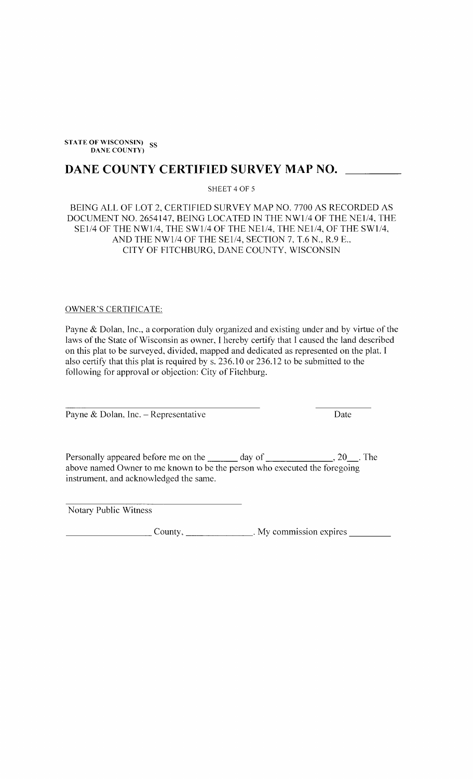STATE OF WISCONSIN) SS **DANE COUNTY)** 

## DANE COUNTY CERTIFIED SURVEY MAP NO.

SHEET 4 OF 5

## BEING ALL OF LOT 2, CERTIFIED SURVEY MAP NO. 7700 AS RECORDED AS DOCUMENT NO. 2654147, BEING LOCATED IN THE NW1/4 OF THE NE1/4, THE SE1/4 OF THE NW1/4, THE SW1/4 OF THE NE1/4, THE NE1/4, OF THE SW1/4, AND THE NW1/4 OF THE SE1/4, SECTION 7, T.6 N., R.9 E., CITY OF FITCHBURG, DANE COUNTY, WISCONSIN

#### **OWNER'S CERTIFICATE:**

Payne  $\&$  Dolan, Inc., a corporation duly organized and existing under and by virtue of the laws of the State of Wisconsin as owner, I hereby certify that I caused the land described on this plat to be surveyed, divided, mapped and dedicated as represented on the plat. I also certify that this plat is required by s. 236.10 or 236.12 to be submitted to the following for approval or objection: City of Fitchburg.

Payne & Dolan, Inc. - Representative

Date

Personally appeared before me on the \_\_\_\_\_\_ day of \_\_\_\_\_\_\_\_\_\_\_\_\_\_\_\_\_\_\_\_\_\_\_\_\_\_\_\_\_\_  $\frac{1}{20}$ . The above named Owner to me known to be the person who executed the foregoing instrument, and acknowledged the same.

Notary Public Witness

County, \_\_\_\_\_\_\_\_\_\_\_\_\_\_\_\_. My commission expires \_\_\_\_\_\_\_\_\_\_\_\_\_\_\_\_\_\_\_\_\_\_\_\_\_\_\_\_\_\_\_\_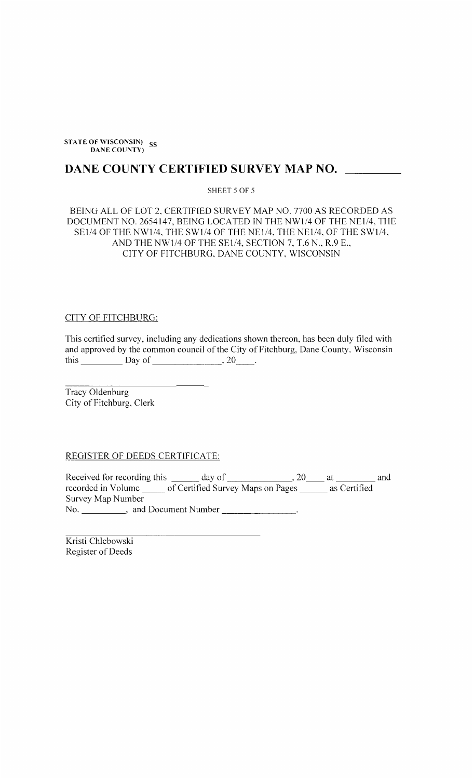STATE OF WISCONSIN SS **DANE COUNTY)** 

# DANE COUNTY CERTIFIED SURVEY MAP NO. \_\_\_\_\_\_\_\_

### SHEET 5 OF 5

## BEING ALL OF LOT 2, CERTIFIED SURVEY MAP NO. 7700 AS RECORDED AS DOCUMENT NO. 2654147, BEING LOCATED IN THE NW1/4 OF THE NE1/4, THE SE1/4 OF THE NW1/4, THE SW1/4 OF THE NE1/4, THE NE1/4, OF THE SW1/4, AND THE NW1/4 OF THE SE1/4, SECTION 7, T.6 N., R.9 E., CITY OF FITCHBURG, DANE COUNTY, WISCONSIN

#### **CITY OF FITCHBURG:**

This certified survey, including any dedications shown thereon, has been duly filed with and approved by the common council of the City of Fitchburg, Dane County, Wisconsin this  $\frac{\qquad \qquad }{\qquad \qquad }$  Day of  $\qquad \qquad .20 \qquad .$ 

Tracy Oldenburg City of Fitchburg, Clerk

REGISTER OF DEEDS CERTIFICATE:

Survey Map Number No. \_\_\_\_\_\_\_\_\_\_, and Document Number \_\_\_\_\_\_\_  $\mathbf{r}$ 

Kristi Chlebowski Register of Deeds